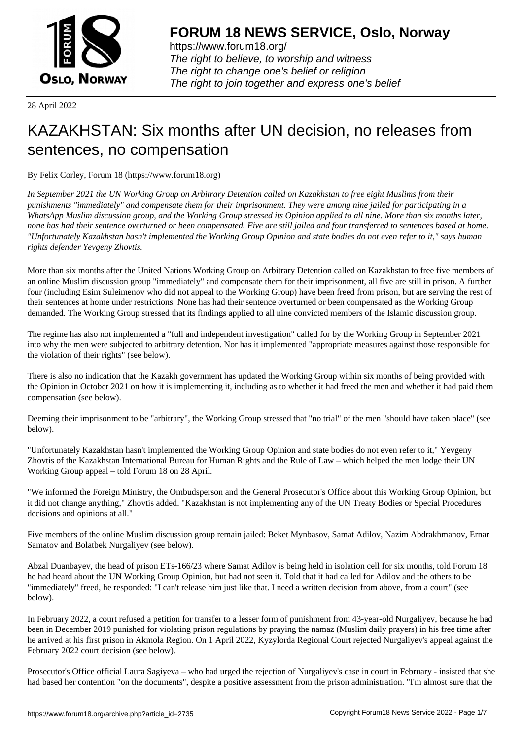

https://www.forum18.org/ The right to believe, to worship and witness The right to change one's belief or religion [The right to join together a](https://www.forum18.org/)nd express one's belief

28 April 2022

## [KAZAKHSTAN:](https://www.forum18.org) Six months after UN decision, no releases from sentences, no compensation

By Felix Corley, Forum 18 (https://www.forum18.org)

*In September 2021 the UN Working Group on Arbitrary Detention called on Kazakhstan to free eight Muslims from their punishments "immediately" and compensate them for their imprisonment. They were among nine jailed for participating in a WhatsApp Muslim discussion group, and the Working Group stressed its Opinion applied to all nine. More than six months later, none has had their sentence overturned or been compensated. Five are still jailed and four transferred to sentences based at home. "Unfortunately Kazakhstan hasn't implemented the Working Group Opinion and state bodies do not even refer to it," says human rights defender Yevgeny Zhovtis.*

More than six months after the United Nations Working Group on Arbitrary Detention called on Kazakhstan to free five members of an online Muslim discussion group "immediately" and compensate them for their imprisonment, all five are still in prison. A further four (including Esim Suleimenov who did not appeal to the Working Group) have been freed from prison, but are serving the rest of their sentences at home under restrictions. None has had their sentence overturned or been compensated as the Working Group demanded. The Working Group stressed that its findings applied to all nine convicted members of the Islamic discussion group.

The regime has also not implemented a "full and independent investigation" called for by the Working Group in September 2021 into why the men were subjected to arbitrary detention. Nor has it implemented "appropriate measures against those responsible for the violation of their rights" (see below).

There is also no indication that the Kazakh government has updated the Working Group within six months of being provided with the Opinion in October 2021 on how it is implementing it, including as to whether it had freed the men and whether it had paid them compensation (see below).

Deeming their imprisonment to be "arbitrary", the Working Group stressed that "no trial" of the men "should have taken place" (see below).

"Unfortunately Kazakhstan hasn't implemented the Working Group Opinion and state bodies do not even refer to it," Yevgeny Zhovtis of the Kazakhstan International Bureau for Human Rights and the Rule of Law – which helped the men lodge their UN Working Group appeal – told Forum 18 on 28 April.

"We informed the Foreign Ministry, the Ombudsperson and the General Prosecutor's Office about this Working Group Opinion, but it did not change anything," Zhovtis added. "Kazakhstan is not implementing any of the UN Treaty Bodies or Special Procedures decisions and opinions at all."

Five members of the online Muslim discussion group remain jailed: Beket Mynbasov, Samat Adilov, Nazim Abdrakhmanov, Ernar Samatov and Bolatbek Nurgaliyev (see below).

Abzal Duanbayev, the head of prison ETs-166/23 where Samat Adilov is being held in isolation cell for six months, told Forum 18 he had heard about the UN Working Group Opinion, but had not seen it. Told that it had called for Adilov and the others to be "immediately" freed, he responded: "I can't release him just like that. I need a written decision from above, from a court" (see below).

In February 2022, a court refused a petition for transfer to a lesser form of punishment from 43-year-old Nurgaliyev, because he had been in December 2019 punished for violating prison regulations by praying the namaz (Muslim daily prayers) in his free time after he arrived at his first prison in Akmola Region. On 1 April 2022, Kyzylorda Regional Court rejected Nurgaliyev's appeal against the February 2022 court decision (see below).

Prosecutor's Office official Laura Sagiyeva – who had urged the rejection of Nurgaliyev's case in court in February - insisted that she had based her contention "on the documents", despite a positive assessment from the prison administration. "I'm almost sure that the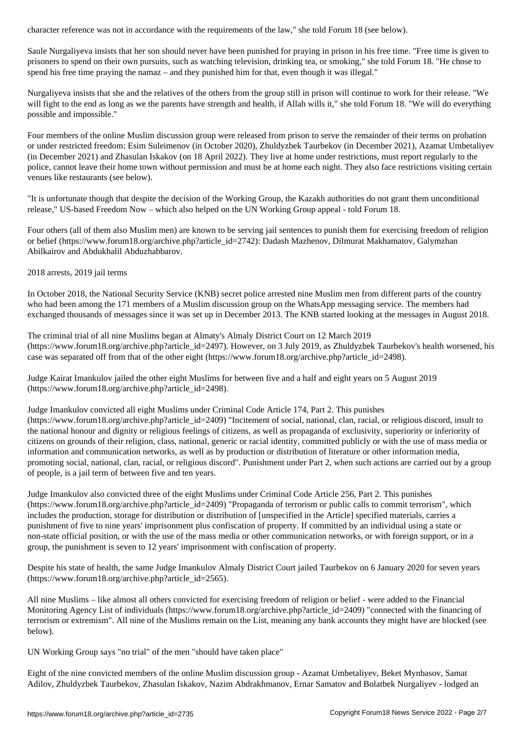Saule Nurgaliyeva insists that her son should never have been punished for praying in prison in his free time. "Free time is given to prisoners to spend on their own pursuits, such as watching television, drinking tea, or smoking," she told Forum 18. "He chose to spend his free time praying the namaz – and they punished him for that, even though it was illegal."

Nurgaliyeva insists that she and the relatives of the others from the group still in prison will continue to work for their release. "We will fight to the end as long as we the parents have strength and health, if Allah wills it," she told Forum 18. "We will do everything possible and impossible."

Four members of the online Muslim discussion group were released from prison to serve the remainder of their terms on probation or under restricted freedom: Esim Suleimenov (in October 2020), Zhuldyzbek Taurbekov (in December 2021), Azamat Umbetaliyev (in December 2021) and Zhasulan Iskakov (on 18 April 2022). They live at home under restrictions, must report regularly to the police, cannot leave their home town without permission and must be at home each night. They also face restrictions visiting certain venues like restaurants (see below).

"It is unfortunate though that despite the decision of the Working Group, the Kazakh authorities do not grant them unconditional release," US-based Freedom Now – which also helped on the UN Working Group appeal - told Forum 18.

Four others (all of them also Muslim men) are known to be serving jail sentences to punish them for exercising freedom of religion or belief (https://www.forum18.org/archive.php?article\_id=2742): Dadash Mazhenov, Dilmurat Makhamatov, Galymzhan Abilkairov and Abdukhalil Abduzhabbarov.

2018 arrests, 2019 jail terms

In October 2018, the National Security Service (KNB) secret police arrested nine Muslim men from different parts of the country who had been among the 171 members of a Muslim discussion group on the WhatsApp messaging service. The members had exchanged thousands of messages since it was set up in December 2013. The KNB started looking at the messages in August 2018.

The criminal trial of all nine Muslims began at Almaty's Almaly District Court on 12 March 2019 (https://www.forum18.org/archive.php?article\_id=2497). However, on 3 July 2019, as Zhuldyzbek Taurbekov's health worsened, his case was separated off from that of the other eight (https://www.forum18.org/archive.php?article\_id=2498).

Judge Kairat Imankulov jailed the other eight Muslims for between five and a half and eight years on 5 August 2019 (https://www.forum18.org/archive.php?article\_id=2498).

Judge Imankulov convicted all eight Muslims under Criminal Code Article 174, Part 2. This punishes (https://www.forum18.org/archive.php?article\_id=2409) "Incitement of social, national, clan, racial, or religious discord, insult to the national honour and dignity or religious feelings of citizens, as well as propaganda of exclusivity, superiority or inferiority of citizens on grounds of their religion, class, national, generic or racial identity, committed publicly or with the use of mass media or information and communication networks, as well as by production or distribution of literature or other information media, promoting social, national, clan, racial, or religious discord". Punishment under Part 2, when such actions are carried out by a group of people, is a jail term of between five and ten years.

Judge Imankulov also convicted three of the eight Muslims under Criminal Code Article 256, Part 2. This punishes (https://www.forum18.org/archive.php?article\_id=2409) "Propaganda of terrorism or public calls to commit terrorism", which includes the production, storage for distribution or distribution of [unspecified in the Article] specified materials, carries a punishment of five to nine years' imprisonment plus confiscation of property. If committed by an individual using a state or non-state official position, or with the use of the mass media or other communication networks, or with foreign support, or in a group, the punishment is seven to 12 years' imprisonment with confiscation of property.

Despite his state of health, the same Judge Imankulov Almaly District Court jailed Taurbekov on 6 January 2020 for seven years (https://www.forum18.org/archive.php?article\_id=2565).

All nine Muslims – like almost all others convicted for exercising freedom of religion or belief - were added to the Financial Monitoring Agency List of individuals (https://www.forum18.org/archive.php?article\_id=2409) "connected with the financing of terrorism or extremism". All nine of the Muslims remain on the List, meaning any bank accounts they might have are blocked (see below).

UN Working Group says "no trial" of the men "should have taken place"

Eight of the nine convicted members of the online Muslim discussion group - Azamat Umbetaliyev, Beket Mynbasov, Samat Adilov, Zhuldyzbek Taurbekov, Zhasulan Iskakov, Nazim Abdrakhmanov, Ernar Samatov and Bolatbek Nurgaliyev - lodged an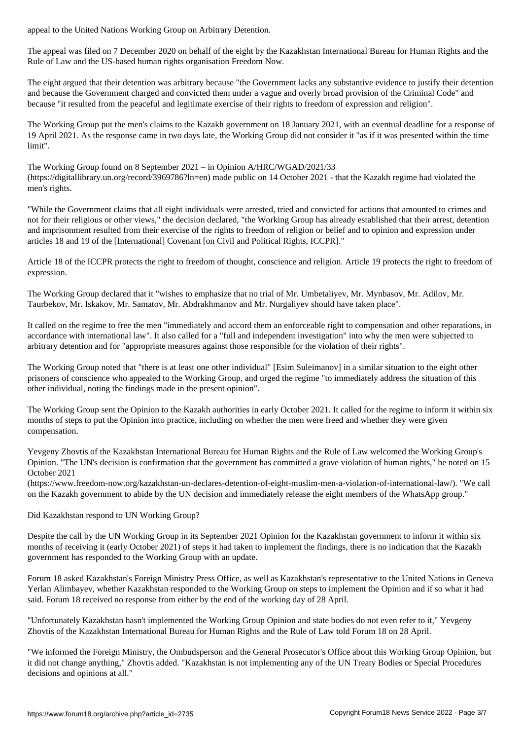The appeal was filed on 7 December 2020 on behalf of the eight by the Kazakhstan International Bureau for Human Rights and the Rule of Law and the US-based human rights organisation Freedom Now.

The eight argued that their detention was arbitrary because "the Government lacks any substantive evidence to justify their detention and because the Government charged and convicted them under a vague and overly broad provision of the Criminal Code" and because "it resulted from the peaceful and legitimate exercise of their rights to freedom of expression and religion".

The Working Group put the men's claims to the Kazakh government on 18 January 2021, with an eventual deadline for a response of 19 April 2021. As the response came in two days late, the Working Group did not consider it "as if it was presented within the time limit".

The Working Group found on 8 September 2021 – in Opinion A/HRC/WGAD/2021/33 (https://digitallibrary.un.org/record/3969786?ln=en) made public on 14 October 2021 - that the Kazakh regime had violated the men's rights.

"While the Government claims that all eight individuals were arrested, tried and convicted for actions that amounted to crimes and not for their religious or other views," the decision declared, "the Working Group has already established that their arrest, detention and imprisonment resulted from their exercise of the rights to freedom of religion or belief and to opinion and expression under articles 18 and 19 of the [International] Covenant [on Civil and Political Rights, ICCPR]."

Article 18 of the ICCPR protects the right to freedom of thought, conscience and religion. Article 19 protects the right to freedom of expression.

The Working Group declared that it "wishes to emphasize that no trial of Mr. Umbetaliyev, Mr. Mynbasov, Mr. Adilov, Mr. Taurbekov, Mr. Iskakov, Mr. Samatov, Mr. Abdrakhmanov and Mr. Nurgaliyev should have taken place".

It called on the regime to free the men "immediately and accord them an enforceable right to compensation and other reparations, in accordance with international law". It also called for a "full and independent investigation" into why the men were subjected to arbitrary detention and for "appropriate measures against those responsible for the violation of their rights".

The Working Group noted that "there is at least one other individual" [Esim Suleimanov] in a similar situation to the eight other prisoners of conscience who appealed to the Working Group, and urged the regime "to immediately address the situation of this other individual, noting the findings made in the present opinion".

The Working Group sent the Opinion to the Kazakh authorities in early October 2021. It called for the regime to inform it within six months of steps to put the Opinion into practice, including on whether the men were freed and whether they were given compensation.

Yevgeny Zhovtis of the Kazakhstan International Bureau for Human Rights and the Rule of Law welcomed the Working Group's Opinion. "The UN's decision is confirmation that the government has committed a grave violation of human rights," he noted on 15 October 2021

(https://www.freedom-now.org/kazakhstan-un-declares-detention-of-eight-muslim-men-a-violation-of-international-law/). "We call on the Kazakh government to abide by the UN decision and immediately release the eight members of the WhatsApp group."

Did Kazakhstan respond to UN Working Group?

Despite the call by the UN Working Group in its September 2021 Opinion for the Kazakhstan government to inform it within six months of receiving it (early October 2021) of steps it had taken to implement the findings, there is no indication that the Kazakh government has responded to the Working Group with an update.

Forum 18 asked Kazakhstan's Foreign Ministry Press Office, as well as Kazakhstan's representative to the United Nations in Geneva Yerlan Alimbayev, whether Kazakhstan responded to the Working Group on steps to implement the Opinion and if so what it had said. Forum 18 received no response from either by the end of the working day of 28 April.

"Unfortunately Kazakhstan hasn't implemented the Working Group Opinion and state bodies do not even refer to it," Yevgeny Zhovtis of the Kazakhstan International Bureau for Human Rights and the Rule of Law told Forum 18 on 28 April.

"We informed the Foreign Ministry, the Ombudsperson and the General Prosecutor's Office about this Working Group Opinion, but it did not change anything," Zhovtis added. "Kazakhstan is not implementing any of the UN Treaty Bodies or Special Procedures decisions and opinions at all."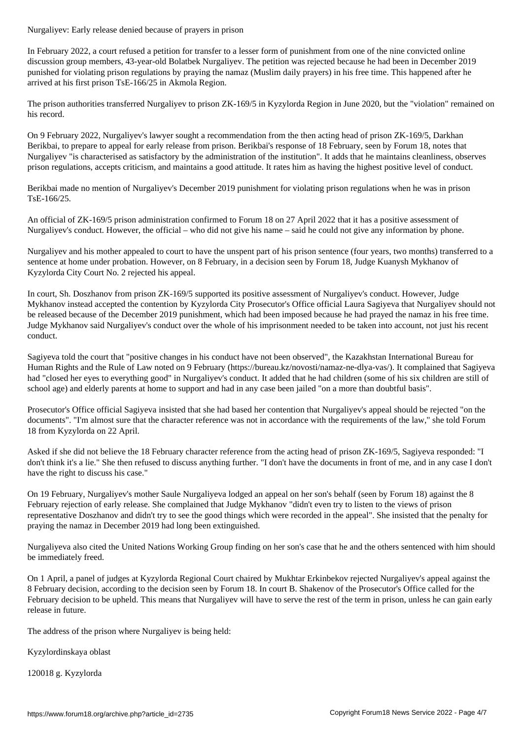In February 2022, a court refused a petition for transfer to a lesser form of punishment from one of the nine convicted online discussion group members, 43-year-old Bolatbek Nurgaliyev. The petition was rejected because he had been in December 2019 punished for violating prison regulations by praying the namaz (Muslim daily prayers) in his free time. This happened after he arrived at his first prison TsE-166/25 in Akmola Region.

The prison authorities transferred Nurgaliyev to prison ZK-169/5 in Kyzylorda Region in June 2020, but the "violation" remained on his record.

On 9 February 2022, Nurgaliyev's lawyer sought a recommendation from the then acting head of prison ZK-169/5, Darkhan Berikbai, to prepare to appeal for early release from prison. Berikbai's response of 18 February, seen by Forum 18, notes that Nurgaliyev "is characterised as satisfactory by the administration of the institution". It adds that he maintains cleanliness, observes prison regulations, accepts criticism, and maintains a good attitude. It rates him as having the highest positive level of conduct.

Berikbai made no mention of Nurgaliyev's December 2019 punishment for violating prison regulations when he was in prison TsE-166/25.

An official of ZK-169/5 prison administration confirmed to Forum 18 on 27 April 2022 that it has a positive assessment of Nurgaliyev's conduct. However, the official – who did not give his name – said he could not give any information by phone.

Nurgaliyev and his mother appealed to court to have the unspent part of his prison sentence (four years, two months) transferred to a sentence at home under probation. However, on 8 February, in a decision seen by Forum 18, Judge Kuanysh Mykhanov of Kyzylorda City Court No. 2 rejected his appeal.

In court, Sh. Doszhanov from prison ZK-169/5 supported its positive assessment of Nurgaliyev's conduct. However, Judge Mykhanov instead accepted the contention by Kyzylorda City Prosecutor's Office official Laura Sagiyeva that Nurgaliyev should not be released because of the December 2019 punishment, which had been imposed because he had prayed the namaz in his free time. Judge Mykhanov said Nurgaliyev's conduct over the whole of his imprisonment needed to be taken into account, not just his recent conduct.

Sagiyeva told the court that "positive changes in his conduct have not been observed", the Kazakhstan International Bureau for Human Rights and the Rule of Law noted on 9 February (https://bureau.kz/novosti/namaz-ne-dlya-vas/). It complained that Sagiyeva had "closed her eyes to everything good" in Nurgaliyev's conduct. It added that he had children (some of his six children are still of school age) and elderly parents at home to support and had in any case been jailed "on a more than doubtful basis".

Prosecutor's Office official Sagiyeva insisted that she had based her contention that Nurgaliyev's appeal should be rejected "on the documents". "I'm almost sure that the character reference was not in accordance with the requirements of the law," she told Forum 18 from Kyzylorda on 22 April.

Asked if she did not believe the 18 February character reference from the acting head of prison ZK-169/5, Sagiyeva responded: "I don't think it's a lie." She then refused to discuss anything further. "I don't have the documents in front of me, and in any case I don't have the right to discuss his case."

On 19 February, Nurgaliyev's mother Saule Nurgaliyeva lodged an appeal on her son's behalf (seen by Forum 18) against the 8 February rejection of early release. She complained that Judge Mykhanov "didn't even try to listen to the views of prison representative Doszhanov and didn't try to see the good things which were recorded in the appeal". She insisted that the penalty for praying the namaz in December 2019 had long been extinguished.

Nurgaliyeva also cited the United Nations Working Group finding on her son's case that he and the others sentenced with him should be immediately freed.

On 1 April, a panel of judges at Kyzylorda Regional Court chaired by Mukhtar Erkinbekov rejected Nurgaliyev's appeal against the 8 February decision, according to the decision seen by Forum 18. In court B. Shakenov of the Prosecutor's Office called for the February decision to be upheld. This means that Nurgaliyev will have to serve the rest of the term in prison, unless he can gain early release in future.

The address of the prison where Nurgaliyev is being held:

Kyzylordinskaya oblast

120018 g. Kyzylorda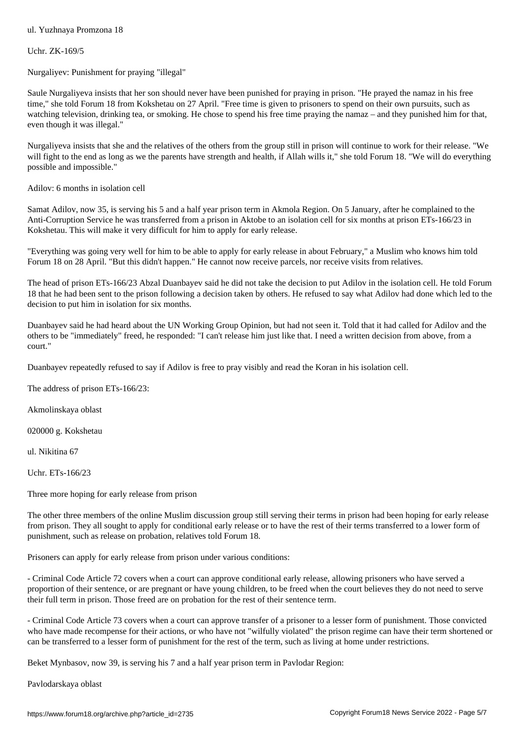Uchr. ZK-169/5

Nurgaliyev: Punishment for praying "illegal"

Saule Nurgaliyeva insists that her son should never have been punished for praying in prison. "He prayed the namaz in his free time," she told Forum 18 from Kokshetau on 27 April. "Free time is given to prisoners to spend on their own pursuits, such as watching television, drinking tea, or smoking. He chose to spend his free time praying the namaz – and they punished him for that, even though it was illegal."

Nurgaliyeva insists that she and the relatives of the others from the group still in prison will continue to work for their release. "We will fight to the end as long as we the parents have strength and health, if Allah wills it," she told Forum 18. "We will do everything possible and impossible."

Adilov: 6 months in isolation cell

Samat Adilov, now 35, is serving his 5 and a half year prison term in Akmola Region. On 5 January, after he complained to the Anti-Corruption Service he was transferred from a prison in Aktobe to an isolation cell for six months at prison ETs-166/23 in Kokshetau. This will make it very difficult for him to apply for early release.

"Everything was going very well for him to be able to apply for early release in about February," a Muslim who knows him told Forum 18 on 28 April. "But this didn't happen." He cannot now receive parcels, nor receive visits from relatives.

The head of prison ETs-166/23 Abzal Duanbayev said he did not take the decision to put Adilov in the isolation cell. He told Forum 18 that he had been sent to the prison following a decision taken by others. He refused to say what Adilov had done which led to the decision to put him in isolation for six months.

Duanbayev said he had heard about the UN Working Group Opinion, but had not seen it. Told that it had called for Adilov and the others to be "immediately" freed, he responded: "I can't release him just like that. I need a written decision from above, from a court."

Duanbayev repeatedly refused to say if Adilov is free to pray visibly and read the Koran in his isolation cell.

The address of prison ETs-166/23:

Akmolinskaya oblast

020000 g. Kokshetau

ul. Nikitina 67

Uchr. ETs-166/23

Three more hoping for early release from prison

The other three members of the online Muslim discussion group still serving their terms in prison had been hoping for early release from prison. They all sought to apply for conditional early release or to have the rest of their terms transferred to a lower form of punishment, such as release on probation, relatives told Forum 18.

Prisoners can apply for early release from prison under various conditions:

- Criminal Code Article 72 covers when a court can approve conditional early release, allowing prisoners who have served a proportion of their sentence, or are pregnant or have young children, to be freed when the court believes they do not need to serve their full term in prison. Those freed are on probation for the rest of their sentence term.

- Criminal Code Article 73 covers when a court can approve transfer of a prisoner to a lesser form of punishment. Those convicted who have made recompense for their actions, or who have not "wilfully violated" the prison regime can have their term shortened or can be transferred to a lesser form of punishment for the rest of the term, such as living at home under restrictions.

Beket Mynbasov, now 39, is serving his 7 and a half year prison term in Pavlodar Region:

Pavlodarskaya oblast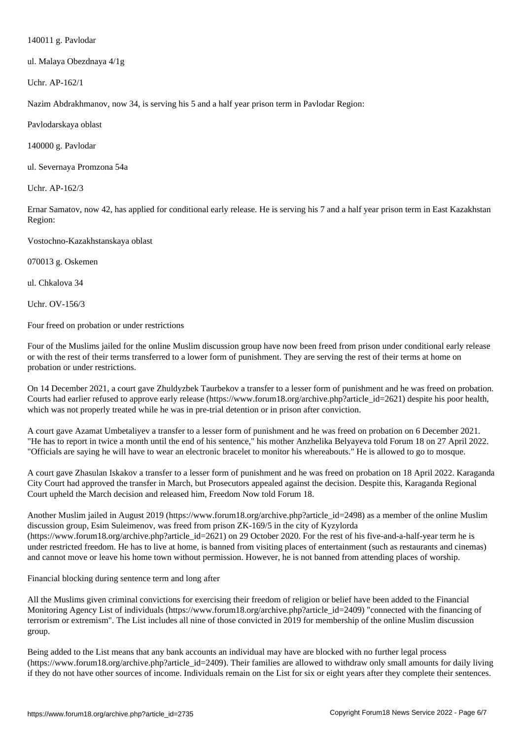1400 **g**. Pavlodar Pavlodar Pavlodar Pavlodar Pavlodar Pavlodar Pavlodar Pavlodar Pavlodar Pavlodar Pavlodar Pavlodar Pavlodar Pavlodar Pavlodar Pavlodar Pavlodar Pavlodar Pavlodar Pavlodar Pavlodar Pavlodar Pavlodar Pavlo

ul. Malaya Obezdnaya 4/1g

Uchr. AP-162/1

Nazim Abdrakhmanov, now 34, is serving his 5 and a half year prison term in Pavlodar Region:

Pavlodarskaya oblast

140000 g. Pavlodar

ul. Severnaya Promzona 54a

Uchr. AP-162/3

Ernar Samatov, now 42, has applied for conditional early release. He is serving his 7 and a half year prison term in East Kazakhstan Region:

Vostochno-Kazakhstanskaya oblast

070013 g. Oskemen

ul. Chkalova 34

Uchr. OV-156/3

Four freed on probation or under restrictions

Four of the Muslims jailed for the online Muslim discussion group have now been freed from prison under conditional early release or with the rest of their terms transferred to a lower form of punishment. They are serving the rest of their terms at home on probation or under restrictions.

On 14 December 2021, a court gave Zhuldyzbek Taurbekov a transfer to a lesser form of punishment and he was freed on probation. Courts had earlier refused to approve early release (https://www.forum18.org/archive.php?article\_id=2621) despite his poor health, which was not properly treated while he was in pre-trial detention or in prison after conviction.

A court gave Azamat Umbetaliyev a transfer to a lesser form of punishment and he was freed on probation on 6 December 2021. "He has to report in twice a month until the end of his sentence," his mother Anzhelika Belyayeva told Forum 18 on 27 April 2022. "Officials are saying he will have to wear an electronic bracelet to monitor his whereabouts." He is allowed to go to mosque.

A court gave Zhasulan Iskakov a transfer to a lesser form of punishment and he was freed on probation on 18 April 2022. Karaganda City Court had approved the transfer in March, but Prosecutors appealed against the decision. Despite this, Karaganda Regional Court upheld the March decision and released him, Freedom Now told Forum 18.

Another Muslim jailed in August 2019 (https://www.forum18.org/archive.php?article\_id=2498) as a member of the online Muslim discussion group, Esim Suleimenov, was freed from prison ZK-169/5 in the city of Kyzylorda (https://www.forum18.org/archive.php?article\_id=2621) on 29 October 2020. For the rest of his five-and-a-half-year term he is under restricted freedom. He has to live at home, is banned from visiting places of entertainment (such as restaurants and cinemas) and cannot move or leave his home town without permission. However, he is not banned from attending places of worship.

Financial blocking during sentence term and long after

All the Muslims given criminal convictions for exercising their freedom of religion or belief have been added to the Financial Monitoring Agency List of individuals (https://www.forum18.org/archive.php?article\_id=2409) "connected with the financing of terrorism or extremism". The List includes all nine of those convicted in 2019 for membership of the online Muslim discussion group.

Being added to the List means that any bank accounts an individual may have are blocked with no further legal process (https://www.forum18.org/archive.php?article\_id=2409). Their families are allowed to withdraw only small amounts for daily living if they do not have other sources of income. Individuals remain on the List for six or eight years after they complete their sentences.